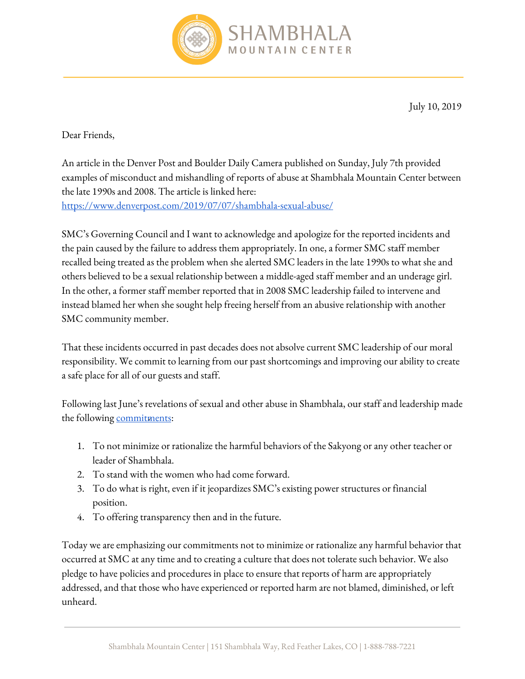

July 10, 2019

## Dear Friends,

An article in the Denver Post and Boulder Daily Camera published on Sunday, July 7th provided examples of misconduct and mishandling of reports of abuse at Shambhala Mountain Center between the late 1990s and 2008. The article is linked here: <https://www.denverpost.com/2019/07/07/shambhala-sexual-abuse/>

SMC's Governing Council and I want to acknowledge and apologize for the reported incidents and the pain caused by the failure to address them appropriately. In one, a former SMC staff member recalled being treated as the problem when she alerted SMC leaders in the late 1990s to what she and others believed to be a sexual relationship between a middle-aged staff member and an underage girl. In the other, a former staff member reported that in 2008 SMC leadership failed to intervene and instead blamed her when she sought help freeing herself from an abusive relationship with another SMC community member.

That these incidents occurred in past decades does not absolve current SMC leadership of our moral responsibility. We commit to learning from our past shortcomings and improving our ability to create a safe place for all of our guests and staff.

Following last June's revelations of sexual and other abuse in Shambhala, our staff and leadership made the following **commitments**:

- 1. To not minimize or rationalize the harmful behaviors of the Sakyong or any other teacher or leader of Shambhala.
- 2. To stand with the women who had come forward.
- 3. To do what is right, even if it jeopardizes SMC's existing power structures or financial position.
- 4. To offering transparency then and in the future.

Today we are emphasizing our commitments not to minimize or rationalize any harmful behavior that occurred at SMC at any time and to creating a culture that does not tolerate such behavior. We also pledge to have policies and procedures in place to ensure that reports of harm are appropriately addressed, and that those who have experienced or reported harm are not blamed, diminished, or left unheard.